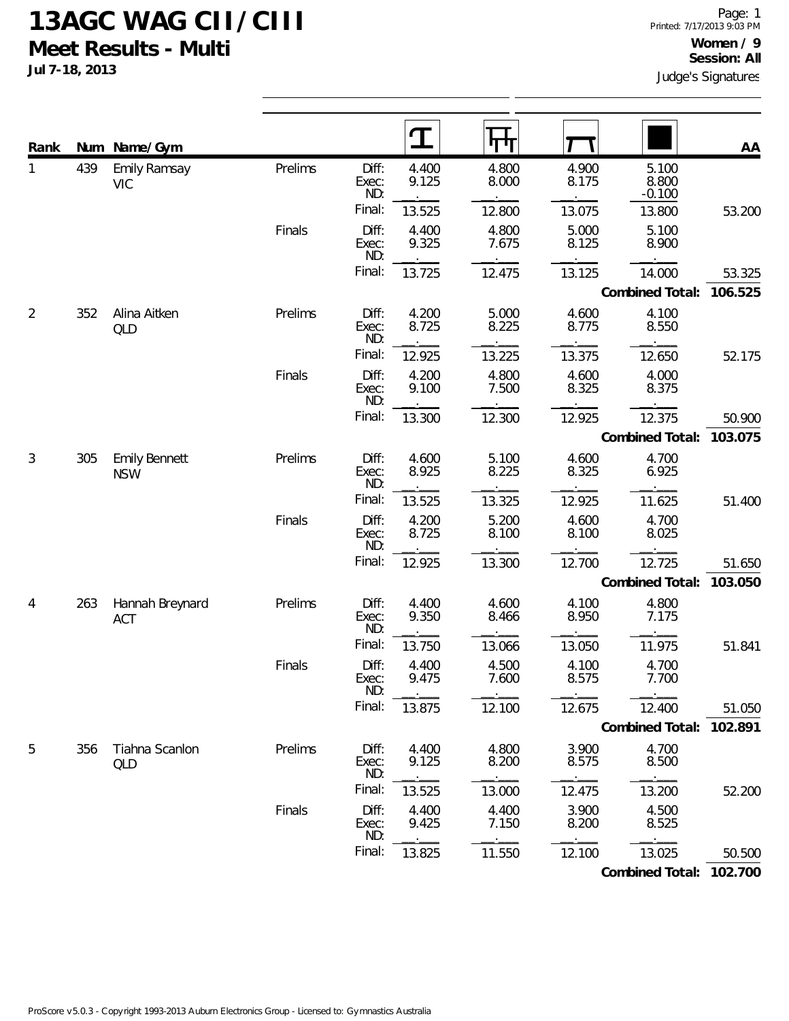**Jul 7-18, 2013**

| Rank           |     | Num Name/Gym                       |         |                       | ${\bf T}$      | पाग            |                |                            | AA      |
|----------------|-----|------------------------------------|---------|-----------------------|----------------|----------------|----------------|----------------------------|---------|
| 1              | 439 | <b>Emily Ramsay</b><br><b>VIC</b>  | Prelims | Diff:<br>Exec:<br>ND: | 4.400<br>9.125 | 4.800<br>8.000 | 4.900<br>8.175 | 5.100<br>8.800<br>$-0.100$ |         |
|                |     |                                    |         | Final:                | 13.525         | 12.800         | 13.075         | 13.800                     | 53.200  |
|                |     |                                    | Finals  | Diff:<br>Exec:<br>ND: | 4.400<br>9.325 | 4.800<br>7.675 | 5.000<br>8.125 | 5.100<br>8.900             |         |
|                |     |                                    |         | Final:                | 13.725         | 12.475         | 13.125         | 14.000                     | 53.325  |
|                |     |                                    |         |                       |                |                |                | Combined Total:            | 106.525 |
| $\overline{2}$ | 352 | Alina Aitken<br>QLD                | Prelims | Diff:<br>Exec:<br>ND: | 4.200<br>8.725 | 5.000<br>8.225 | 4.600<br>8.775 | 4.100<br>8.550             |         |
|                |     |                                    |         | Final:                | 12.925         | 13.225         | 13.375         | 12.650                     | 52.175  |
|                |     |                                    | Finals  | Diff:<br>Exec:<br>ND: | 4.200<br>9.100 | 4.800<br>7.500 | 4.600<br>8.325 | 4.000<br>8.375             |         |
|                |     |                                    |         | Final:                | 13.300         | 12.300         | 12.925         | 12.375                     | 50.900  |
|                |     |                                    |         |                       |                |                |                | Combined Total:            | 103.075 |
| 3              | 305 | <b>Emily Bennett</b><br><b>NSW</b> | Prelims | Diff:<br>Exec:<br>ND: | 4.600<br>8.925 | 5.100<br>8.225 | 4.600<br>8.325 | 4.700<br>6.925             |         |
|                |     |                                    |         | Final:                | 13.525         | 13.325         | 12.925         | 11.625                     | 51.400  |
|                |     |                                    | Finals  | Diff:<br>Exec:<br>ND: | 4.200<br>8.725 | 5.200<br>8.100 | 4.600<br>8.100 | 4.700<br>8.025             |         |
|                |     |                                    |         | Final:                | 12.925         | 13.300         | 12.700         | 12.725                     | 51.650  |
|                |     |                                    |         |                       |                |                |                | Combined Total:            | 103.050 |
| 4              | 263 | Hannah Breynard<br><b>ACT</b>      | Prelims | Diff:<br>Exec:<br>ND: | 4.400<br>9.350 | 4.600<br>8.466 | 4.100<br>8.950 | 4.800<br>7.175             |         |
|                |     |                                    |         | Final:                | 13.750         | 13.066         | 13.050         | 11.975                     | 51.841  |
|                |     |                                    | Finals  | Diff:<br>Exec:<br>ND: | 4.400<br>9.475 | 4.500<br>7.600 | 4.100<br>8.575 | 4.700<br>7.700             |         |
|                |     |                                    |         | Final:                | 13.875         | 12.100         | 12.675         | 12.400                     | 51.050  |
|                |     |                                    |         |                       |                |                |                | Combined Total:            | 102.891 |
| 5              | 356 | Tiahna Scanlon<br>QLD              | Prelims | Diff:<br>Exec:<br>ND: | 4.400<br>9.125 | 4.800<br>8.200 | 3.900<br>8.575 | 4.700<br>8.500             |         |
|                |     |                                    |         | Final:                | 13.525         | 13.000         | 12.475         | 13.200                     | 52.200  |
|                |     |                                    | Finals  | Diff:<br>Exec:<br>ND: | 4.400<br>9.425 | 4.400<br>7.150 | 3.900<br>8.200 | 4.500<br>8.525             |         |
|                |     |                                    |         | Final:                | 13.825         | 11.550         | 12.100         | 13.025                     | 50.500  |

**Combined Total: 102.700**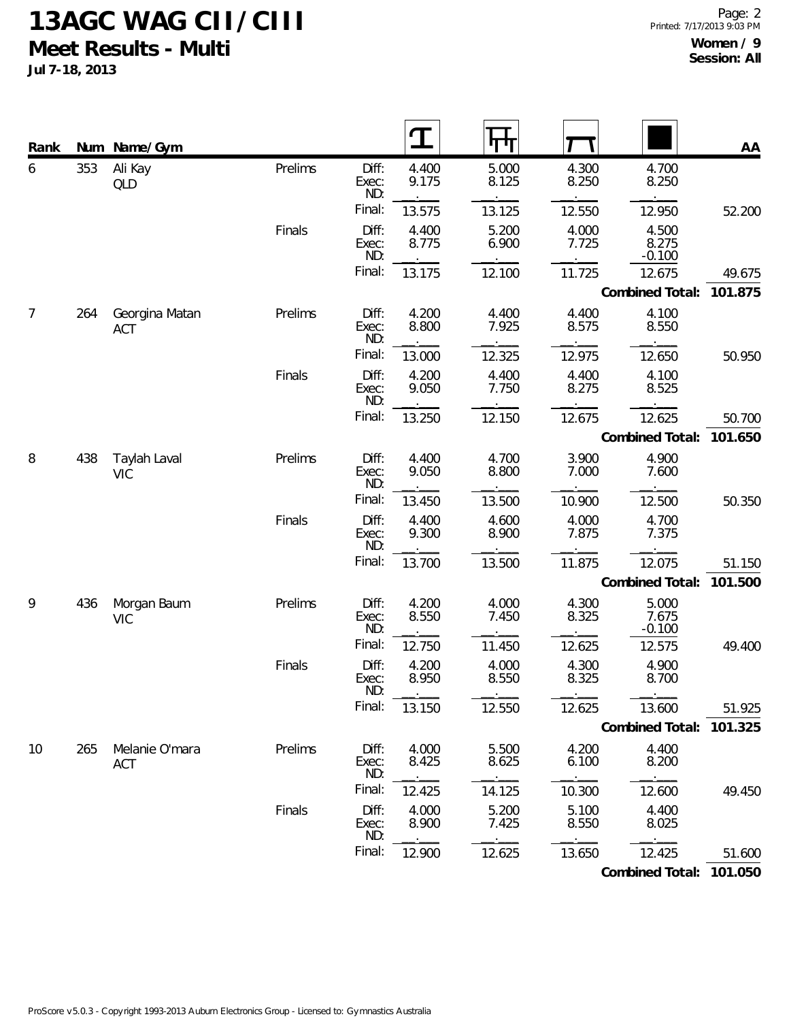**Jul 7-18, 2013**

| Rank | Num | Name/Gym                     |         |                       | $\mathbf T$    |                |                |                            | AA      |
|------|-----|------------------------------|---------|-----------------------|----------------|----------------|----------------|----------------------------|---------|
| 6    | 353 | Ali Kay<br>QLD               | Prelims | Diff:<br>Exec:<br>ND: | 4.400<br>9.175 | 5.000<br>8.125 | 4.300<br>8.250 | 4.700<br>8.250             |         |
|      |     |                              |         | Final:                | 13.575         | 13.125         | 12.550         | 12.950                     | 52.200  |
|      |     |                              | Finals  | Diff:<br>Exec:<br>ND: | 4.400<br>8.775 | 5.200<br>6.900 | 4.000<br>7.725 | 4.500<br>8.275<br>$-0.100$ |         |
|      |     |                              |         | Final:                | 13.175         | 12.100         | 11.725         | 12.675                     | 49.675  |
|      |     |                              |         |                       |                |                |                | Combined Total:            | 101.875 |
| 7    | 264 | Georgina Matan<br><b>ACT</b> | Prelims | Diff:<br>Exec:<br>ND: | 4.200<br>8.800 | 4.400<br>7.925 | 4.400<br>8.575 | 4.100<br>8.550             |         |
|      |     |                              |         | Final:                | 13.000         | 12.325         | 12.975         | 12.650                     | 50.950  |
|      |     |                              | Finals  | Diff:<br>Exec:<br>ND: | 4.200<br>9.050 | 4.400<br>7.750 | 4.400<br>8.275 | 4.100<br>8.525             |         |
|      |     |                              |         | Final:                | 13.250         | 12.150         | 12.675         | 12.625                     | 50.700  |
|      |     |                              |         |                       |                |                |                | Combined Total:            | 101.650 |
| 8    | 438 | Taylah Laval<br><b>VIC</b>   | Prelims | Diff:<br>Exec:<br>ND: | 4.400<br>9.050 | 4.700<br>8.800 | 3.900<br>7.000 | 4.900<br>7.600             |         |
|      |     |                              |         | Final:                | 13.450         | 13.500         | 10.900         | 12.500                     | 50.350  |
|      |     |                              | Finals  | Diff:<br>Exec:<br>ND: | 4.400<br>9.300 | 4.600<br>8.900 | 4.000<br>7.875 | 4.700<br>7.375             |         |
|      |     |                              |         | Final:                | 13.700         | 13.500         | 11.875         | 12.075                     | 51.150  |
|      |     |                              |         |                       |                |                |                | Combined Total:            | 101.500 |
| 9    | 436 | Morgan Baum<br><b>VIC</b>    | Prelims | Diff:<br>Exec:<br>ND: | 4.200<br>8.550 | 4.000<br>7.450 | 4.300<br>8.325 | 5.000<br>7.675<br>$-0.100$ |         |
|      |     |                              |         | Final:                | 12.750         | 11.450         | 12.625         | 12.575                     | 49.400  |
|      |     |                              | Finals  | Diff:<br>Exec:<br>ND: | 4.200<br>8.950 | 4.000<br>8.550 | 4.300<br>8.325 | 4.900<br>8.700             |         |
|      |     |                              |         | Final:                | 13.150         | 12.550         | 12.625         | 13.600                     | 51.925  |
|      |     |                              |         |                       |                |                |                | Combined Total:            | 101.325 |
| 10   | 265 | Melanie O'mara<br>ACT        | Prelims | Diff:<br>Exec:<br>ND: | 4.000<br>8.425 | 5.500<br>8.625 | 4.200<br>6.100 | 4.400<br>8.200             |         |
|      |     |                              |         | Final:                | 12.425         | 14.125         | 10.300         | 12.600                     | 49.450  |
|      |     |                              | Finals  | Diff:<br>Exec:<br>ND: | 4.000<br>8.900 | 5.200<br>7.425 | 5.100<br>8.550 | 4.400<br>8.025             |         |
|      |     |                              |         | Final:                | 12.900         | 12.625         | 13.650         | 12.425                     | 51.600  |

**Combined Total: 101.050**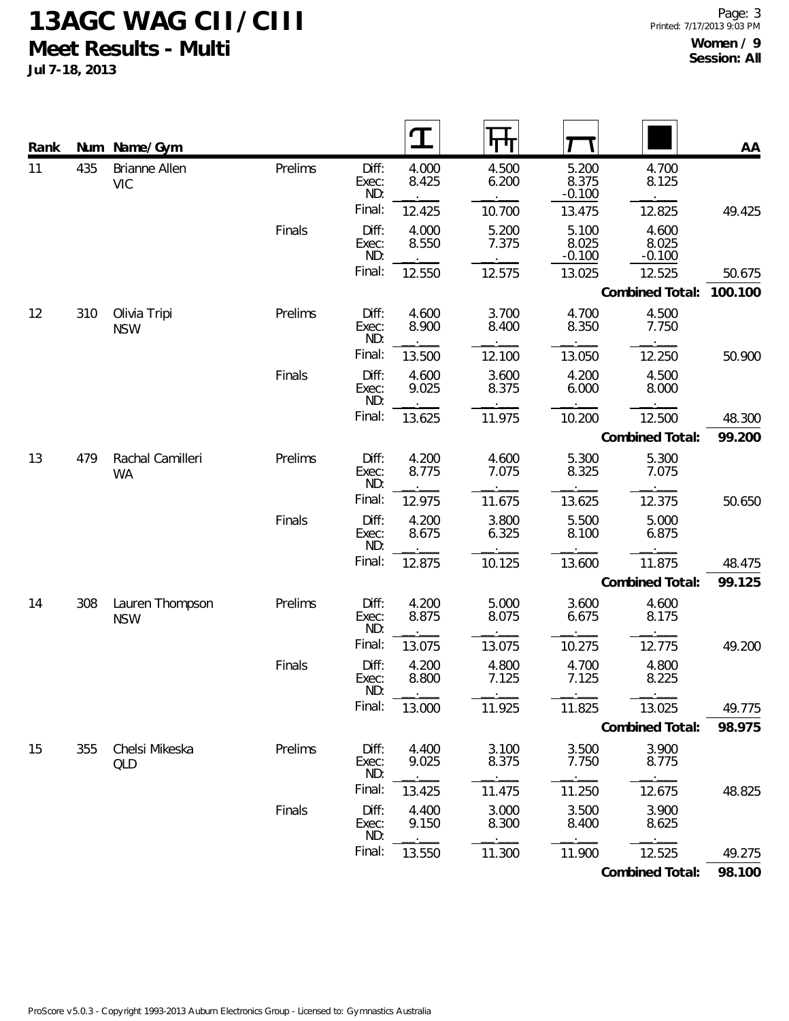**Jul 7-18, 2013**

| Rank |     | Num Name/Gym                  |         |                       |                |                |                            |                            | AA      |
|------|-----|-------------------------------|---------|-----------------------|----------------|----------------|----------------------------|----------------------------|---------|
| 11   | 435 | Brianne Allen<br><b>VIC</b>   | Prelims | Diff:<br>Exec:<br>ND: | 4.000<br>8.425 | 4.500<br>6.200 | 5.200<br>8.375<br>$-0.100$ | 4.700<br>8.125             |         |
|      |     |                               |         | Final:                | 12.425         | 10.700         | 13.475                     | 12.825                     | 49.425  |
|      |     |                               | Finals  | Diff:<br>Exec:<br>ND: | 4.000<br>8.550 | 5.200<br>7.375 | 5.100<br>8.025<br>$-0.100$ | 4.600<br>8.025<br>$-0.100$ |         |
|      |     |                               |         | Final:                | 12.550         | 12.575         | 13.025                     | 12.525                     | 50.675  |
|      |     |                               |         |                       |                |                |                            | Combined Total:            | 100.100 |
| 12   | 310 | Olivia Tripi<br><b>NSW</b>    | Prelims | Diff:<br>Exec:<br>ND: | 4.600<br>8.900 | 3.700<br>8.400 | 4.700<br>8.350             | 4.500<br>7.750             |         |
|      |     |                               |         | Final:                | 13.500         | 12.100         | 13.050                     | 12.250                     | 50.900  |
|      |     |                               | Finals  | Diff:<br>Exec:<br>ND: | 4.600<br>9.025 | 3.600<br>8.375 | 4.200<br>6.000             | 4.500<br>8.000             |         |
|      |     |                               |         | Final:                | 13.625         | 11.975         | 10.200                     | 12.500                     | 48.300  |
|      |     |                               |         |                       |                |                |                            | Combined Total:            | 99.200  |
| 13   | 479 | Rachal Camilleri<br><b>WA</b> | Prelims | Diff:<br>Exec:<br>ND: | 4.200<br>8.775 | 4.600<br>7.075 | 5.300<br>8.325             | 5.300<br>7.075             |         |
|      |     |                               |         | Final:                | 12.975         | 11.675         | 13.625                     | 12.375                     | 50.650  |
|      |     |                               | Finals  | Diff:<br>Exec:<br>ND: | 4.200<br>8.675 | 3.800<br>6.325 | 5.500<br>8.100             | 5.000<br>6.875             |         |
|      |     |                               |         | Final:                | 12.875         | 10.125         | 13.600                     | 11.875                     | 48.475  |
|      |     |                               |         |                       |                |                |                            | Combined Total:            | 99.125  |
| 14   | 308 | Lauren Thompson<br><b>NSW</b> | Prelims | Diff:<br>Exec:<br>ND: | 4.200<br>8.875 | 5.000<br>8.075 | 3.600<br>6.675             | 4.600<br>8.175             |         |
|      |     |                               |         | Final:                | 13.075         | 13.075         | 10.275                     | 12.775                     | 49.200  |
|      |     |                               | Finals  | Diff:<br>Exec:<br>ND: | 4.200<br>8.800 | 4.800<br>7.125 | 4.700<br>7.125             | 4.800<br>8.225             |         |
|      |     |                               |         | Final:                | 13.000         | 11.925         | 11.825                     | 13.025                     | 49.775  |
|      |     |                               |         |                       |                |                |                            | Combined Total:            | 98.975  |
| 15   | 355 | Chelsi Mikeska<br>QLD         | Prelims | Diff:<br>Exec:<br>ND: | 4.400<br>9.025 | 3.100<br>8.375 | 3.500<br>7.750             | 3.900<br>8.775             |         |
|      |     |                               |         | Final:                | 13.425         | 11.475         | 11.250                     | 12.675                     | 48.825  |
|      |     |                               | Finals  | Diff:<br>Exec:<br>ND: | 4.400<br>9.150 | 3.000<br>8.300 | 3.500<br>8.400             | 3.900<br>8.625             |         |
|      |     |                               |         | Final:                | 13.550         | 11.300         | 11.900                     | 12.525                     | 49.275  |
|      |     |                               |         |                       |                |                |                            | Combined Total:            | 98.100  |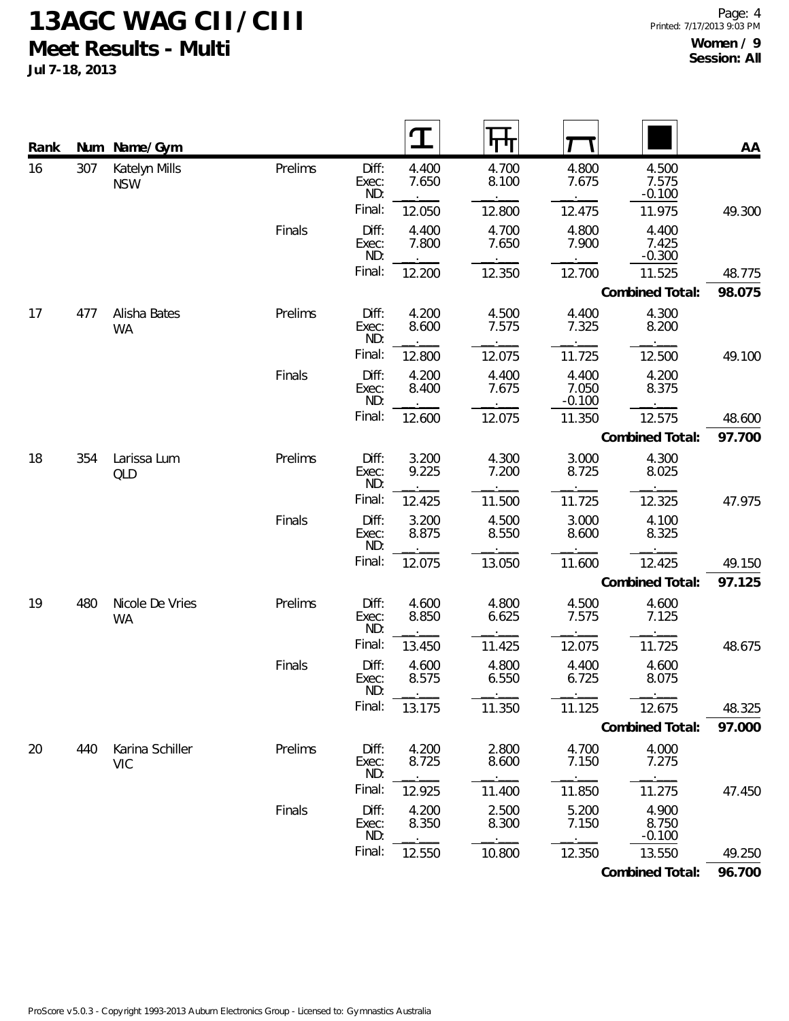**Jul 7-18, 2013**

| Rank |     | Num Name/Gym                  |         |                       |                | IП             |                            |                            | AA     |
|------|-----|-------------------------------|---------|-----------------------|----------------|----------------|----------------------------|----------------------------|--------|
| 16   | 307 | Katelyn Mills<br><b>NSW</b>   | Prelims | Diff:<br>Exec:<br>ND: | 4.400<br>7.650 | 4.700<br>8.100 | 4.800<br>7.675             | 4.500<br>7.575<br>$-0.100$ |        |
|      |     |                               |         | Final:                | 12.050         | 12.800         | 12.475                     | 11.975                     | 49.300 |
|      |     |                               | Finals  | Diff:<br>Exec:<br>ND: | 4.400<br>7.800 | 4.700<br>7.650 | 4.800<br>7.900             | 4.400<br>7.425<br>$-0.300$ |        |
|      |     |                               |         | Final:                | 12.200         | 12.350         | 12.700                     | 11.525                     | 48.775 |
|      |     |                               |         |                       |                |                |                            | Combined Total:            | 98.075 |
| 17   | 477 | Alisha Bates<br>WA            | Prelims | Diff:<br>Exec:<br>ND: | 4.200<br>8.600 | 4.500<br>7.575 | 4.400<br>7.325             | 4.300<br>8.200             |        |
|      |     |                               |         | Final:                | 12.800         | 12.075         | 11.725                     | 12.500                     | 49.100 |
|      |     |                               | Finals  | Diff:<br>Exec:<br>ND: | 4.200<br>8.400 | 4.400<br>7.675 | 4.400<br>7.050<br>$-0.100$ | 4.200<br>8.375             |        |
|      |     |                               |         | Final:                | 12.600         | 12.075         | 11.350                     | 12.575                     | 48.600 |
|      |     |                               |         |                       |                |                |                            | Combined Total:            | 97.700 |
| 18   | 354 | Larissa Lum<br><b>QLD</b>     | Prelims | Diff:<br>Exec:<br>ND: | 3.200<br>9.225 | 4.300<br>7.200 | 3.000<br>8.725             | 4.300<br>8.025             |        |
|      |     |                               |         | Final:                | 12.425         | 11.500         | 11.725                     | 12.325                     | 47.975 |
|      |     |                               | Finals  | Diff:<br>Exec:<br>ND: | 3.200<br>8.875 | 4.500<br>8.550 | 3.000<br>8.600             | 4.100<br>8.325             |        |
|      |     |                               |         | Final:                | 12.075         | 13.050         | 11.600                     | 12.425                     | 49.150 |
|      |     |                               |         |                       |                |                |                            | Combined Total:            | 97.125 |
| 19   | 480 | Nicole De Vries<br>WA         | Prelims | Diff:<br>Exec:<br>ND: | 4.600<br>8.850 | 4.800<br>6.625 | 4.500<br>7.575             | 4.600<br>7.125             |        |
|      |     |                               |         | Final:                | 13.450         | 11.425         | 12.075                     | 11.725                     | 48.675 |
|      |     |                               | Finals  | Diff:<br>Exec:<br>ND: | 4.600<br>8.575 | 4.800<br>6.550 | 4.400<br>6.725             | 4.600<br>8.075             |        |
|      |     |                               |         | Final:                | 13.175         | 11.350         | 11.125                     | 12.675                     | 48.325 |
|      |     |                               |         |                       |                |                |                            | Combined Total:            | 97.000 |
| 20   | 440 | Karina Schiller<br><b>VIC</b> | Prelims | Diff:<br>Exec:<br>ND: | 4.200<br>8.725 | 2.800<br>8.600 | 4.700<br>7.150             | 4.000<br>7.275             |        |
|      |     |                               |         | Final:                | 12.925         | 11.400         | 11.850                     | 11.275                     | 47.450 |
|      |     |                               | Finals  | Diff:<br>Exec:<br>ND: | 4.200<br>8.350 | 2.500<br>8.300 | 5.200<br>7.150             | 4.900<br>8.750<br>$-0.100$ |        |
|      |     |                               |         | Final:                | 12.550         | 10.800         | 12.350                     | 13.550                     | 49.250 |

**Combined Total: 96.700**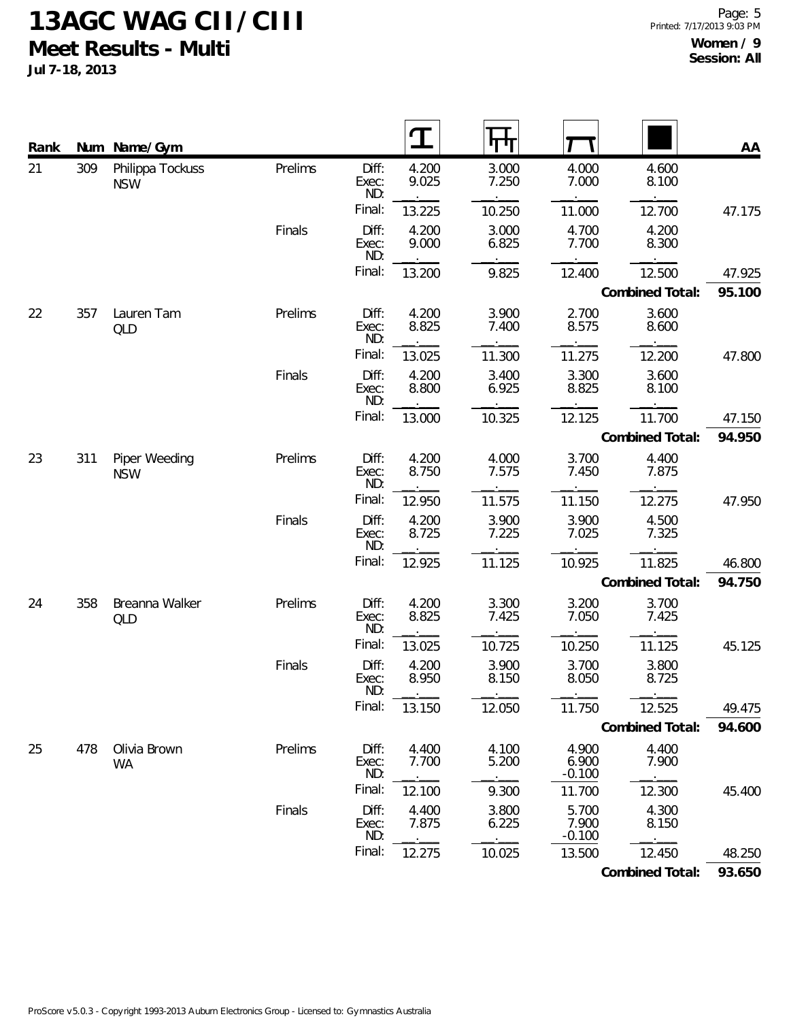**Jul 7-18, 2013**

| Rank | Num | Name/Gym                       |         |                       |                |                |                            |                 | AA     |
|------|-----|--------------------------------|---------|-----------------------|----------------|----------------|----------------------------|-----------------|--------|
| 21   | 309 | Philippa Tockuss<br><b>NSW</b> | Prelims | Diff:<br>Exec:<br>ND: | 4.200<br>9.025 | 3.000<br>7.250 | 4.000<br>7.000             | 4.600<br>8.100  |        |
|      |     |                                |         | Final:                | 13.225         | 10.250         | 11.000                     | 12.700          | 47.175 |
|      |     |                                | Finals  | Diff:<br>Exec:<br>ND: | 4.200<br>9.000 | 3.000<br>6.825 | 4.700<br>7.700             | 4.200<br>8.300  |        |
|      |     |                                |         | Final:                | 13.200         | 9.825          | 12.400                     | 12.500          | 47.925 |
|      |     |                                |         |                       |                |                |                            | Combined Total: | 95.100 |
| 22   | 357 | Lauren Tam<br>QLD              | Prelims | Diff:<br>Exec:<br>ND: | 4.200<br>8.825 | 3.900<br>7.400 | 2.700<br>8.575             | 3.600<br>8.600  |        |
|      |     |                                |         | Final:                | 13.025         | 11.300         | 11.275                     | 12.200          | 47.800 |
|      |     |                                | Finals  | Diff:<br>Exec:<br>ND: | 4.200<br>8.800 | 3.400<br>6.925 | 3.300<br>8.825             | 3.600<br>8.100  |        |
|      |     |                                |         | Final:                | 13.000         | 10.325         | 12.125                     | 11.700          | 47.150 |
|      |     |                                |         |                       |                |                |                            | Combined Total: | 94.950 |
| 23   | 311 | Piper Weeding<br><b>NSW</b>    | Prelims | Diff:<br>Exec:<br>ND: | 4.200<br>8.750 | 4.000<br>7.575 | 3.700<br>7.450             | 4.400<br>7.875  |        |
|      |     |                                |         | Final:                | 12.950         | 11.575         | 11.150                     | 12.275          | 47.950 |
|      |     |                                | Finals  | Diff:<br>Exec:<br>ND: | 4.200<br>8.725 | 3.900<br>7.225 | 3.900<br>7.025             | 4.500<br>7.325  |        |
|      |     |                                |         | Final:                | 12.925         | 11.125         | 10.925                     | 11.825          | 46.800 |
|      |     |                                |         |                       |                |                |                            | Combined Total: | 94.750 |
| 24   | 358 | Breanna Walker<br>QLD          | Prelims | Diff:<br>Exec:<br>ND: | 4.200<br>8.825 | 3.300<br>7.425 | 3.200<br>7.050             | 3.700<br>7.425  |        |
|      |     |                                |         | Final:                | 13.025         | 10.725         | 10.250                     | 11.125          | 45.125 |
|      |     |                                | Finals  | Diff:<br>Exec:<br>ND: | 4.200<br>8.950 | 3.900<br>8.150 | 3.700<br>8.050             | 3.800<br>8.725  |        |
|      |     |                                |         | Final:                | 13.150         | 12.050         | 11.750                     | 12.525          | 49.475 |
|      |     |                                |         |                       |                |                |                            | Combined Total: | 94.600 |
| 25   | 478 | Olivia Brown<br><b>WA</b>      | Prelims | Diff:<br>Exec:<br>ND: | 4.400<br>7.700 | 4.100<br>5.200 | 4.900<br>6.900<br>$-0.100$ | 4.400<br>7.900  |        |
|      |     |                                |         | Final:                | 12.100         | 9.300          | 11.700                     | 12.300          | 45.400 |
|      |     |                                | Finals  | Diff:<br>Exec:<br>ND: | 4.400<br>7.875 | 3.800<br>6.225 | 5.700<br>7.900<br>$-0.100$ | 4.300<br>8.150  |        |
|      |     |                                |         | Final:                | 12.275         | 10.025         | 13.500                     | 12.450          | 48.250 |

**Combined Total: 93.650**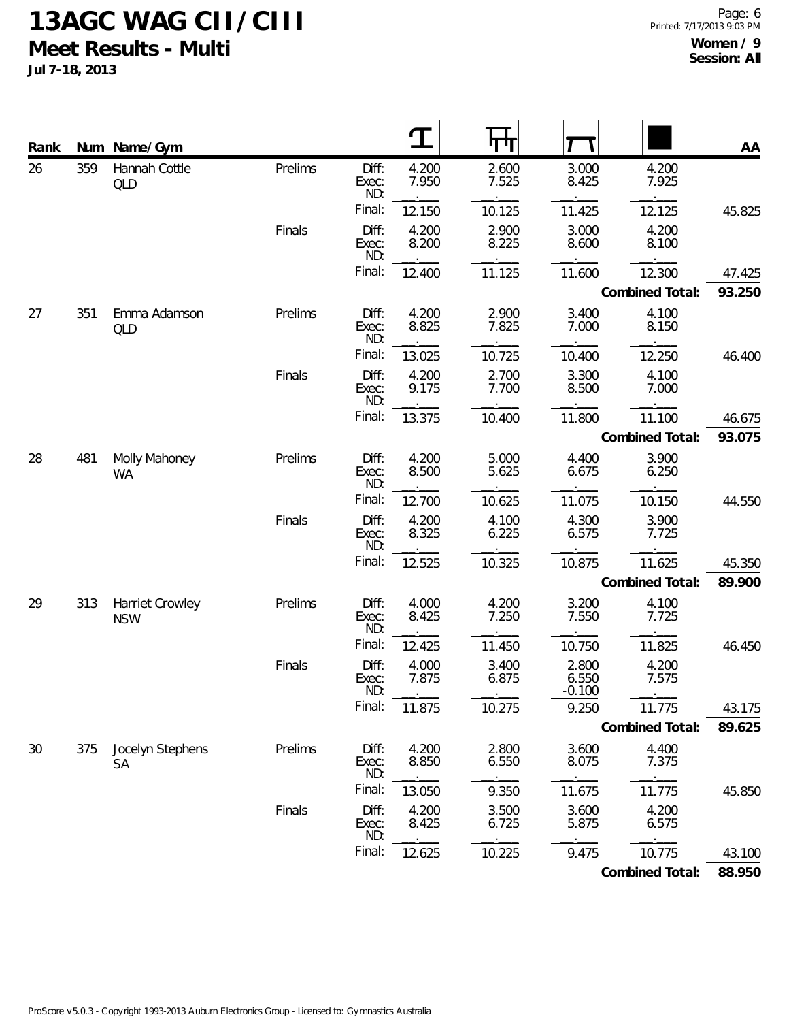**Jul 7-18, 2013**

| Rank |     | Num Name/Gym                  |         |                       |                | पाग            |                            |                 | AA     |
|------|-----|-------------------------------|---------|-----------------------|----------------|----------------|----------------------------|-----------------|--------|
| 26   | 359 | Hannah Cottle<br>QLD          | Prelims | Diff:<br>Exec:<br>ND: | 4.200<br>7.950 | 2.600<br>7.525 | 3.000<br>8.425             | 4.200<br>7.925  |        |
|      |     |                               |         | Final:                | 12.150         | 10.125         | 11.425                     | 12.125          | 45.825 |
|      |     |                               | Finals  | Diff:<br>Exec:<br>ND: | 4.200<br>8.200 | 2.900<br>8.225 | 3.000<br>8.600             | 4.200<br>8.100  |        |
|      |     |                               |         | Final:                | 12.400         | 11.125         | 11.600                     | 12.300          | 47.425 |
|      |     |                               |         |                       |                |                |                            | Combined Total: | 93.250 |
| 27   | 351 | Emma Adamson<br>QLD           | Prelims | Diff:<br>Exec:<br>ND: | 4.200<br>8.825 | 2.900<br>7.825 | 3.400<br>7.000             | 4.100<br>8.150  |        |
|      |     |                               |         | Final:                | 13.025         | 10.725         | 10.400                     | 12.250          | 46.400 |
|      |     |                               | Finals  | Diff:<br>Exec:<br>ND: | 4.200<br>9.175 | 2.700<br>7.700 | 3.300<br>8.500             | 4.100<br>7.000  |        |
|      |     |                               |         | Final:                | 13.375         | 10.400         | 11.800                     | 11.100          | 46.675 |
|      |     |                               |         |                       |                |                |                            | Combined Total: | 93.075 |
| 28   | 481 | Molly Mahoney<br><b>WA</b>    | Prelims | Diff:<br>Exec:<br>ND: | 4.200<br>8.500 | 5.000<br>5.625 | 4.400<br>6.675             | 3.900<br>6.250  |        |
|      |     |                               |         | Final:                | 12.700         | 10.625         | 11.075                     | 10.150          | 44.550 |
|      |     |                               | Finals  | Diff:<br>Exec:<br>ND: | 4.200<br>8.325 | 4.100<br>6.225 | 4.300<br>6.575             | 3.900<br>7.725  |        |
|      |     |                               |         | Final:                | 12.525         | 10.325         | 10.875                     | 11.625          | 45.350 |
|      |     |                               |         |                       |                |                |                            | Combined Total: | 89.900 |
| 29   | 313 | Harriet Crowley<br><b>NSW</b> | Prelims | Diff:<br>Exec:<br>ND: | 4.000<br>8.425 | 4.200<br>7.250 | 3.200<br>7.550             | 4.100<br>7.725  |        |
|      |     |                               |         | Final:                | 12.425         | 11.450         | 10.750                     | 11.825          | 46.450 |
|      |     |                               | Finals  | Diff:<br>Exec:<br>ND: | 4.000<br>7.875 | 3.400<br>6.875 | 2.800<br>6.550<br>$-0.100$ | 4.200<br>7.575  |        |
|      |     |                               |         | Final:                | 11.875         | 10.275         | 9.250                      | 11.775          | 43.175 |
|      |     |                               |         |                       |                |                |                            | Combined Total: | 89.625 |
| 30   | 375 | Jocelyn Stephens<br><b>SA</b> | Prelims | Diff:<br>Exec:<br>ND: | 4.200<br>8.850 | 2.800<br>6.550 | 3.600<br>8.075             | 4.400<br>7.375  |        |
|      |     |                               |         | Final:                | 13.050         | 9.350          | 11.675                     | 11.775          | 45.850 |
|      |     |                               | Finals  | Diff:<br>Exec:<br>ND: | 4.200<br>8.425 | 3.500<br>6.725 | 3.600<br>5.875             | 4.200<br>6.575  |        |
|      |     |                               |         | Final:                | 12.625         | 10.225         | 9.475                      | 10.775          | 43.100 |

**Combined Total: 88.950**